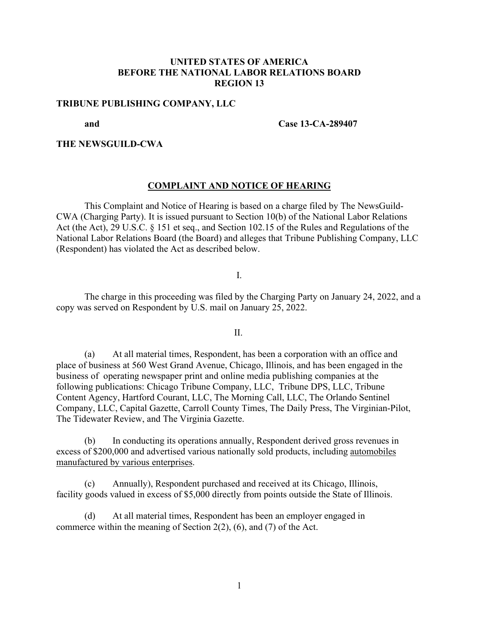# **UNITED STATES OF AMERICA BEFORE THE NATIONAL LABOR RELATIONS BOARD REGION 13**

## **TRIBUNE PUBLISHING COMPANY, LLC**

#### **and Case 13-CA-289407**

# **THE NEWSGUILD-CWA**

## **COMPLAINT AND NOTICE OF HEARING**

This Complaint and Notice of Hearing is based on a charge filed by The NewsGuild-CWA (Charging Party). It is issued pursuant to Section 10(b) of the National Labor Relations Act (the Act), 29 U.S.C. § 151 et seq., and Section 102.15 of the Rules and Regulations of the National Labor Relations Board (the Board) and alleges that Tribune Publishing Company, LLC (Respondent) has violated the Act as described below.

I.

The charge in this proceeding was filed by the Charging Party on January 24, 2022, and a copy was served on Respondent by U.S. mail on January 25, 2022.

II.

(a) At all material times, Respondent, has been a corporation with an office and place of business at 560 West Grand Avenue, Chicago, Illinois, and has been engaged in the business of operating newspaper print and online media publishing companies at the following publications: Chicago Tribune Company, LLC, Tribune DPS, LLC, Tribune Content Agency, Hartford Courant, LLC, The Morning Call, LLC, The Orlando Sentinel Company, LLC, Capital Gazette, Carroll County Times, The Daily Press, The Virginian-Pilot, The Tidewater Review, and The Virginia Gazette.

(b) In conducting its operations annually, Respondent derived gross revenues in excess of \$200,000 and advertised various nationally sold products, including automobiles manufactured by various enterprises.

(c) Annually), Respondent purchased and received at its Chicago, Illinois, facility goods valued in excess of \$5,000 directly from points outside the State of Illinois.

(d) At all material times, Respondent has been an employer engaged in commerce within the meaning of Section 2(2), (6), and (7) of the Act.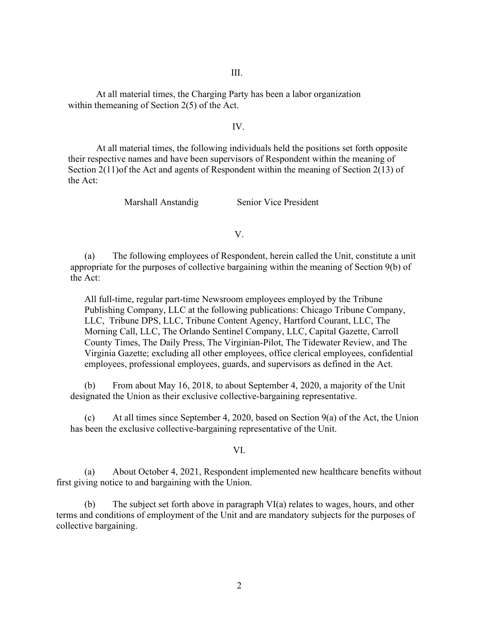III.

At all material times, the Charging Party has been a labor organization within themeaning of Section 2(5) of the Act.

## IV.

At all material times, the following individuals held the positions set forth opposite their respective names and have been supervisors of Respondent within the meaning of Section 2(11)of the Act and agents of Respondent within the meaning of Section 2(13) of the Act:

Marshall Anstandig Senior Vice President

V.

(a) The following employees of Respondent, herein called the Unit, constitute a unit appropriate for the purposes of collective bargaining within the meaning of Section 9(b) of the Act:

All full-time, regular part-time Newsroom employees employed by the Tribune Publishing Company, LLC at the following publications: Chicago Tribune Company, LLC, Tribune DPS, LLC, Tribune Content Agency, Hartford Courant, LLC, The Morning Call, LLC, The Orlando Sentinel Company, LLC, Capital Gazette, Carroll County Times, The Daily Press, The Virginian-Pilot, The Tidewater Review, and The Virginia Gazette; excluding all other employees, office clerical employees, confidential employees, professional employees, guards, and supervisors as defined in the Act.

(b) From about May 16, 2018, to about September 4, 2020, a majority of the Unit designated the Union as their exclusive collective-bargaining representative.

(c) At all times since September 4, 2020, based on Section  $9(a)$  of the Act, the Union has been the exclusive collective-bargaining representative of the Unit.

#### VI.

(a) About October 4, 2021, Respondent implemented new healthcare benefits without first giving notice to and bargaining with the Union.

(b) The subject set forth above in paragraph VI(a) relates to wages, hours, and other terms and conditions of employment of the Unit and are mandatory subjects for the purposes of collective bargaining.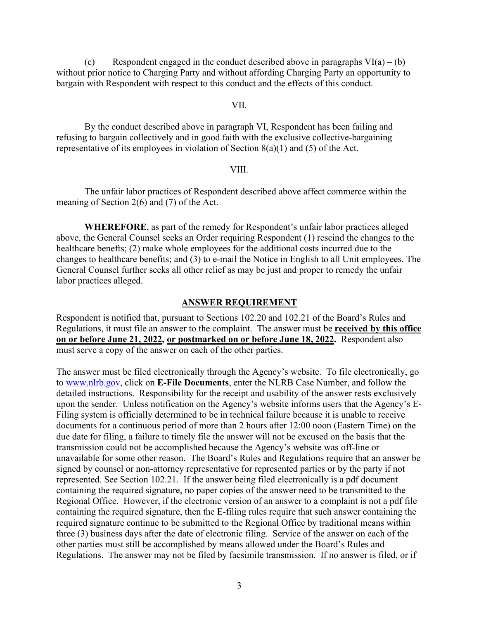(c) Respondent engaged in the conduct described above in paragraphs  $VI(a) - (b)$ without prior notice to Charging Party and without affording Charging Party an opportunity to bargain with Respondent with respect to this conduct and the effects of this conduct.

## VII.

By the conduct described above in paragraph VI, Respondent has been failing and refusing to bargain collectively and in good faith with the exclusive collective-bargaining representative of its employees in violation of Section 8(a)(1) and (5) of the Act.

#### VIII.

The unfair labor practices of Respondent described above affect commerce within the meaning of Section 2(6) and (7) of the Act.

**WHEREFORE**, as part of the remedy for Respondent's unfair labor practices alleged above, the General Counsel seeks an Order requiring Respondent (1) rescind the changes to the healthcare benefts; (2) make whole employees for the additional costs incurred due to the changes to healthcare benefits; and (3) to e-mail the Notice in English to all Unit employees. The General Counsel further seeks all other relief as may be just and proper to remedy the unfair labor practices alleged.

## **ANSWER REQUIREMENT**

Respondent is notified that, pursuant to Sections 102.20 and 102.21 of the Board's Rules and Regulations, it must file an answer to the complaint. The answer must be **received by this office on or before June 21, 2022, or postmarked on or before June 18, 2022.** Respondent also must serve a copy of the answer on each of the other parties.

The answer must be filed electronically through the Agency's website. To file electronically, go to www.nlrb.gov, click on **E-File Documents**, enter the NLRB Case Number, and follow the detailed instructions. Responsibility for the receipt and usability of the answer rests exclusively upon the sender. Unless notification on the Agency's website informs users that the Agency's E-Filing system is officially determined to be in technical failure because it is unable to receive documents for a continuous period of more than 2 hours after 12:00 noon (Eastern Time) on the due date for filing, a failure to timely file the answer will not be excused on the basis that the transmission could not be accomplished because the Agency's website was off-line or unavailable for some other reason. The Board's Rules and Regulations require that an answer be signed by counsel or non-attorney representative for represented parties or by the party if not represented. See Section 102.21. If the answer being filed electronically is a pdf document containing the required signature, no paper copies of the answer need to be transmitted to the Regional Office. However, if the electronic version of an answer to a complaint is not a pdf file containing the required signature, then the E-filing rules require that such answer containing the required signature continue to be submitted to the Regional Office by traditional means within three (3) business days after the date of electronic filing. Service of the answer on each of the other parties must still be accomplished by means allowed under the Board's Rules and Regulations. The answer may not be filed by facsimile transmission. If no answer is filed, or if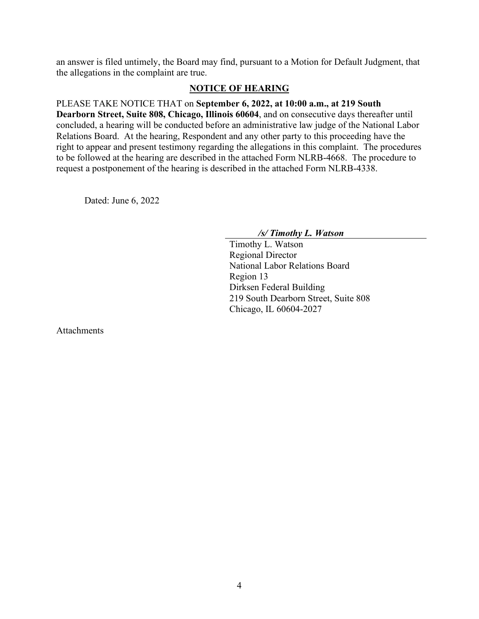an answer is filed untimely, the Board may find, pursuant to a Motion for Default Judgment, that the allegations in the complaint are true.

## **NOTICE OF HEARING**

PLEASE TAKE NOTICE THAT on **September 6, 2022, at 10:00 a.m., at 219 South Dearborn Street, Suite 808, Chicago, Illinois 60604**, and on consecutive days thereafter until concluded, a hearing will be conducted before an administrative law judge of the National Labor Relations Board. At the hearing, Respondent and any other party to this proceeding have the right to appear and present testimony regarding the allegations in this complaint. The procedures to be followed at the hearing are described in the attached Form NLRB-4668. The procedure to request a postponement of the hearing is described in the attached Form NLRB-4338.

Dated: June 6, 2022

*/s/ Timothy L. Watson*

Timothy L. Watson Regional Director National Labor Relations Board Region 13 Dirksen Federal Building 219 South Dearborn Street, Suite 808 Chicago, IL 60604-2027

Attachments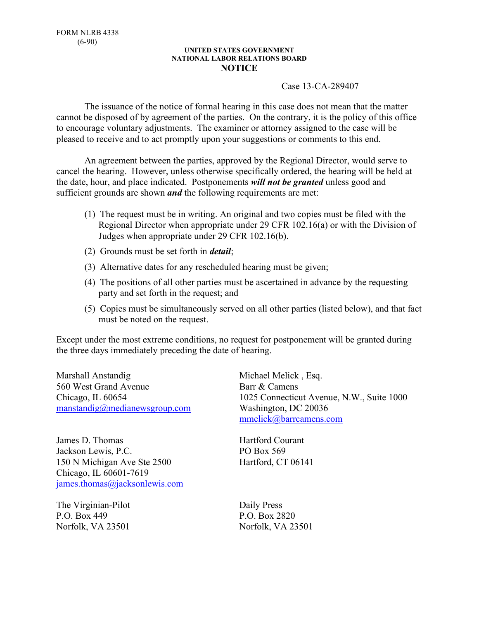#### **UNITED STATES GOVERNMENT NATIONAL LABOR RELATIONS BOARD NOTICE**

## Case 13-CA-289407

The issuance of the notice of formal hearing in this case does not mean that the matter cannot be disposed of by agreement of the parties. On the contrary, it is the policy of this office to encourage voluntary adjustments. The examiner or attorney assigned to the case will be pleased to receive and to act promptly upon your suggestions or comments to this end.

An agreement between the parties, approved by the Regional Director, would serve to cancel the hearing. However, unless otherwise specifically ordered, the hearing will be held at the date, hour, and place indicated. Postponements *will not be granted* unless good and sufficient grounds are shown *and* the following requirements are met:

- (1) The request must be in writing. An original and two copies must be filed with the Regional Director when appropriate under 29 CFR 102.16(a) or with the Division of Judges when appropriate under 29 CFR 102.16(b).
- (2) Grounds must be set forth in *detail*;
- (3) Alternative dates for any rescheduled hearing must be given;
- (4) The positions of all other parties must be ascertained in advance by the requesting party and set forth in the request; and
- (5) Copies must be simultaneously served on all other parties (listed below), and that fact must be noted on the request.

Except under the most extreme conditions, no request for postponement will be granted during the three days immediately preceding the date of hearing.

Marshall Anstandig 560 West Grand Avenue Chicago, IL 60654 manstandig@medianewsgroup.com

James D. Thomas Jackson Lewis, P.C. 150 N Michigan Ave Ste 2500 Chicago, IL 60601-7619 james.thomas@jacksonlewis.com

The Virginian-Pilot P.O. Box 449 Norfolk, VA 23501

Michael Melick , Esq. Barr & Camens 1025 Connecticut Avenue, N.W., Suite 1000 Washington, DC 20036 mmelick@barrcamens.com

Hartford Courant PO Box 569 Hartford, CT 06141

Daily Press P.O. Box 2820 Norfolk, VA 23501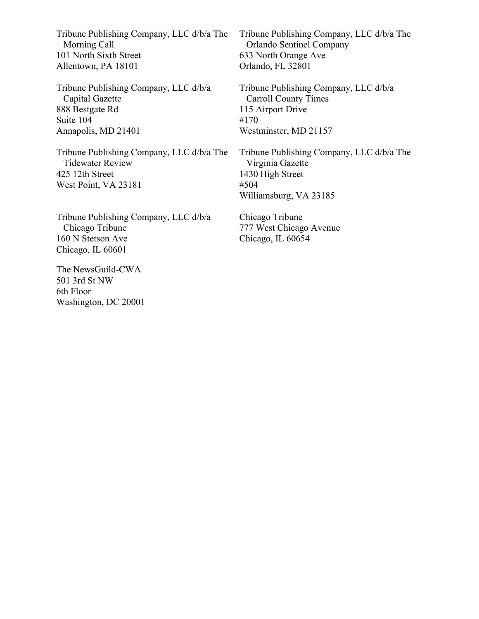Tribune Publishing Company, LLC d/b/a The Morning Call 101 North Sixth Street Allentown, PA 18101

Tribune Publishing Company, LLC d/b/a Capital Gazette 888 Bestgate Rd Suite 104 Annapolis, MD 21401

Tribune Publishing Company, LLC d/b/a The Tidewater Review 425 12th Street West Point, VA 23181

Tribune Publishing Company, LLC d/b/a Chicago Tribune 160 N Stetson Ave Chicago, IL 60601

The NewsGuild-CWA 501 3rd St NW 6th Floor Washington, DC 20001 Tribune Publishing Company, LLC d/b/a The Orlando Sentinel Company 633 North Orange Ave Orlando, FL 32801

Tribune Publishing Company, LLC d/b/a Carroll County Times 115 Airport Drive #170 Westminster, MD 21157

Tribune Publishing Company, LLC d/b/a The Virginia Gazette 1430 High Street #504 Williamsburg, VA 23185

Chicago Tribune 777 West Chicago Avenue Chicago, IL 60654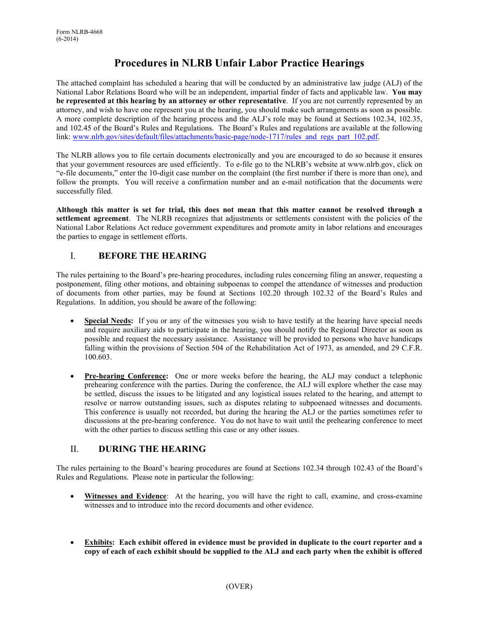# **Procedures in NLRB Unfair Labor Practice Hearings**

The attached complaint has scheduled a hearing that will be conducted by an administrative law judge (ALJ) of the National Labor Relations Board who will be an independent, impartial finder of facts and applicable law. **You may be represented at this hearing by an attorney or other representative**. If you are not currently represented by an attorney, and wish to have one represent you at the hearing, you should make such arrangements as soon as possible. A more complete description of the hearing process and the ALJ's role may be found at Sections 102.34, 102.35, and 102.45 of the Board's Rules and Regulations. The Board's Rules and regulations are available at the following link: www.nlrb.gov/sites/default/files/attachments/basic-page/node-1717/rules\_and\_regs\_part\_102.pdf.

The NLRB allows you to file certain documents electronically and you are encouraged to do so because it ensures that your government resources are used efficiently. To e-file go to the NLRB's website at www.nlrb.gov, click on "e-file documents," enter the 10-digit case number on the complaint (the first number if there is more than one), and follow the prompts. You will receive a confirmation number and an e-mail notification that the documents were successfully filed.

**Although this matter is set for trial, this does not mean that this matter cannot be resolved through a settlement agreement**. The NLRB recognizes that adjustments or settlements consistent with the policies of the National Labor Relations Act reduce government expenditures and promote amity in labor relations and encourages the parties to engage in settlement efforts.

# I. **BEFORE THE HEARING**

The rules pertaining to the Board's pre-hearing procedures, including rules concerning filing an answer, requesting a postponement, filing other motions, and obtaining subpoenas to compel the attendance of witnesses and production of documents from other parties, may be found at Sections 102.20 through 102.32 of the Board's Rules and Regulations. In addition, you should be aware of the following:

- **Special Needs:** If you or any of the witnesses you wish to have testify at the hearing have special needs and require auxiliary aids to participate in the hearing, you should notify the Regional Director as soon as possible and request the necessary assistance.Assistance will be provided to persons who have handicaps falling within the provisions of Section 504 of the Rehabilitation Act of 1973, as amended, and 29 C.F.R. 100.603.
- **Pre-hearing Conference:** One or more weeks before the hearing, the ALJ may conduct a telephonic prehearing conference with the parties. During the conference, the ALJ will explore whether the case may be settled, discuss the issues to be litigated and any logistical issues related to the hearing, and attempt to resolve or narrow outstanding issues, such as disputes relating to subpoenaed witnesses and documents. This conference is usually not recorded, but during the hearing the ALJ or the parties sometimes refer to discussions at the pre-hearing conference. You do not have to wait until the prehearing conference to meet with the other parties to discuss settling this case or any other issues.

# II. **DURING THE HEARING**

The rules pertaining to the Board's hearing procedures are found at Sections 102.34 through 102.43 of the Board's Rules and Regulations. Please note in particular the following:

- **Witnesses and Evidence**: At the hearing, you will have the right to call, examine, and cross-examine witnesses and to introduce into the record documents and other evidence.
- **Exhibits: Each exhibit offered in evidence must be provided in duplicate to the court reporter and a copy of each of each exhibit should be supplied to the ALJ and each party when the exhibit is offered**